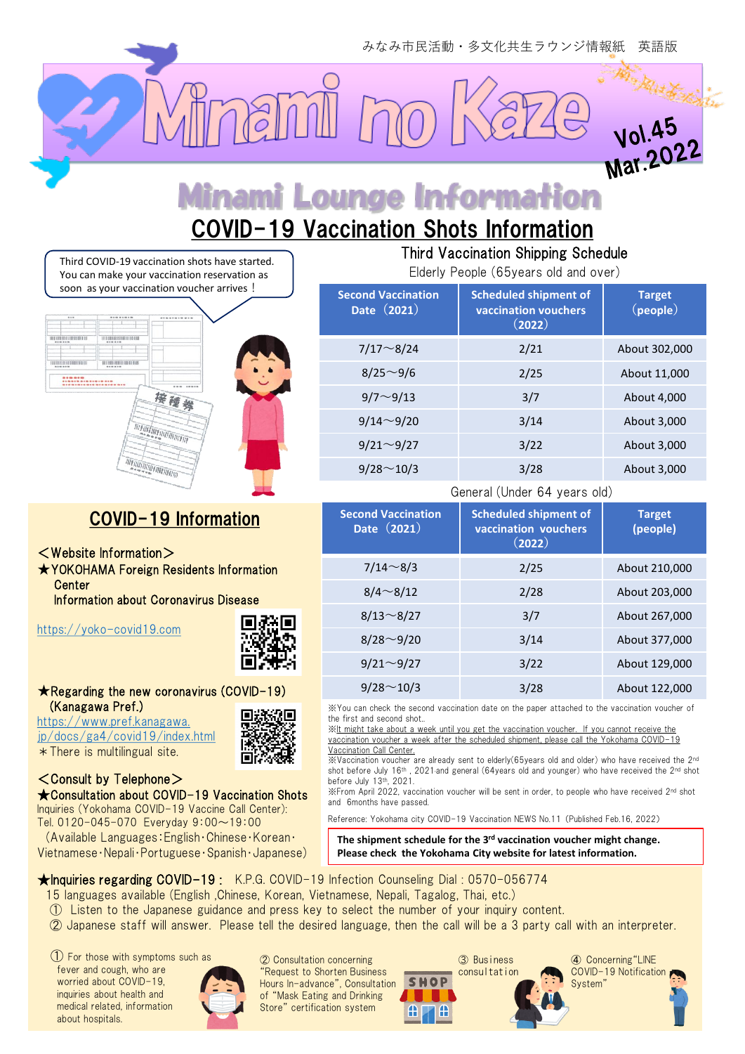**Mar.20** 

# ami Lounge Information

# COVID-19 Vaccination Shots Information

Third COVID-19 vaccination shots have started. You can make your vaccination reservation as soon as your vaccination voucher arrives !



## COVID-19 Information

- <Website Information>
- ★YOKOHAMA Foreign Residents Information **Center**

Information about Coronavirus Disease

[https://yoko-covid19.com](https://yoko-covid19.com/)



#### ★Regarding the new coronavirus (COVID-19) (Kanagawa Pref.)

[https://www.pref.kanagawa.](https://www.pref.kanagawa.jp/docs/ga4/covid19/index.html) [jp/docs/ga4/covid19/index.html](https://www.pref.kanagawa.jp/docs/ga4/covid19/index.html)  $*$  There is multilingual site.

#### <Consult by Telephone> ★Consultation about COVID-19 Vaccination Shots

Inquiries (Yokohama COVID-19 Vaccine Call Center): Tel. 0120-045-070 Everyday 9:00~19:00

(Available Languages:English・Chinese・Korean・ Vietnamese・Nepali・Portuguese・Spanish・Japanese)



### Third Vaccination Shipping Schedule

Elderly People (65years old and over)

| <b>Scheduled shipment of</b><br>vaccination vouchers<br>(2022) | <b>Target</b><br>$(\text{people})$ |
|----------------------------------------------------------------|------------------------------------|
| 2/21                                                           | About 302,000                      |
| 2/25                                                           | About 11,000                       |
| 3/7                                                            | About 4,000                        |
| 3/14                                                           | About 3,000                        |
| 3/22                                                           | About 3,000                        |
| 3/28                                                           | About 3,000                        |
|                                                                |                                    |

#### General (Under 64 years old)

| <b>Second Vaccination</b><br>Date (2021) | <b>Scheduled shipment of</b><br>vaccination vouchers<br>(2022) | <b>Target</b><br>(people) |
|------------------------------------------|----------------------------------------------------------------|---------------------------|
| $7/14 \sim 8/3$                          | 2/25                                                           | About 210,000             |
| $8/4 \sim 8/12$                          | 2/28                                                           | About 203,000             |
| $8/13 \sim 8/27$                         | 3/7                                                            | About 267,000             |
| $8/28 \sim 9/20$                         | 3/14                                                           | About 377,000             |
| $9/21 \sim 9/27$                         | 3/22                                                           | About 129,000             |
| $9/28 \sim 10/3$                         | 3/28                                                           | About 122,000             |

※You can check the second vaccination date on the paper attached to the vaccination voucher of the first and second shot..

※It might take about a week until you get the vaccination voucher. If you cannot receive the vaccination voucher a week after the scheduled shipment, please call the Yokohama COVID-19 Vaccination Call Center.

 $\mathbb{X}$ Vaccination voucher are already sent to elderly(65years old and older) who have received the 2<sup>nd</sup> shot before July 16<sup>th</sup>, 2021 and general (64years old and younger) who have received the 2<sup>nd</sup> shot before July 13th, 2021.

※From April 2022, vaccination voucher will be sent in order, to people who have received 2nd shot and 6months have passed.

Reference: Yokohama city COVID-19 Vaccination NEWS No.11 (Published Feb.16, 2022)

**The shipment schedule for the 3rd vaccination voucher might change. Please check the Yokohama City website for latest information.**

★Inquiries regarding COVID-19 : K.P.G. COVID-19 Infection Counseling Dial : 0570-056774

- 15 languages available (English ,Chinese, Korean, Vietnamese, Nepali, Tagalog, Thai, etc.)
- ① Listen to the Japanese guidance and press key to select the number of your inquiry content.
- ② Japanese staff will answer. Please tell the desired language, then the call will be a 3 party call with an interpreter.

① For those with symptoms such as fever and cough, who are worried about COVID-19 inquiries about health and medical related, information about hospitals.



② Consultation concerning "Request to Shorten Business Hours In-advance", Consultation of "Mask Eating and Drinking Store" certification system

③ Business consultation